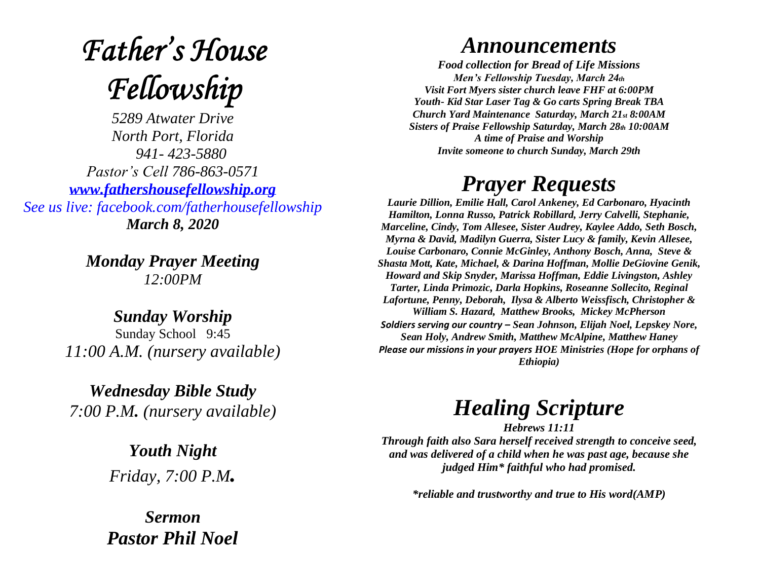# **Father's House** Fellowship

*5289 Atwater Drive North Port, Florida 941- 423-5880 Pastor's Cell 786-863-0571 [www.fathershousefellowship.org](http://www.fathershousefellowship.org/) See us live: facebook.com/fatherhousefellowship March 8, 2020*

> *Monday Prayer Meeting 12:00PM*

*Sunday Worship* Sunday School 9:45 *11:00 A.M. (nursery available)*

*Wednesday Bible Study 7:00 P.M. (nursery available)*

> *Youth Night Friday, 7:00 P.M.*

*Sermon Pastor Phil Noel*

### *Announcements*

*Food collection for Bread of Life Missions Men's Fellowship Tuesday, March 24th Visit Fort Myers sister church leave FHF at 6:00PM Youth- Kid Star Laser Tag & Go carts Spring Break TBA Church Yard Maintenance Saturday, March 21st 8:00AM Sisters of Praise Fellowship Saturday, March 28th 10:00AM A time of Praise and Worship Invite someone to church Sunday, March 29th*

## *Prayer Requests*

*Laurie Dillion, Emilie Hall, Carol Ankeney, Ed Carbonaro, Hyacinth Hamilton, Lonna Russo, Patrick Robillard, Jerry Calvelli, Stephanie, Marceline, Cindy, Tom Allesee, Sister Audrey, Kaylee Addo, Seth Bosch, Myrna & David, Madilyn Guerra, Sister Lucy & family, Kevin Allesee, Louise Carbonaro, Connie McGinley, Anthony Bosch, Anna, Steve & Shasta Mott, Kate, Michael, & Darina Hoffman, Mollie DeGiovine Genik, Howard and Skip Snyder, Marissa Hoffman, Eddie Livingston, Ashley Tarter, Linda Primozic, Darla Hopkins, Roseanne Sollecito, Reginal Lafortune, Penny, Deborah, Ilysa & Alberto Weissfisch, Christopher & William S. Hazard, Matthew Brooks, Mickey McPherson Soldiers serving our country – Sean Johnson, Elijah Noel, Lepskey Nore, Sean Holy, Andrew Smith, Matthew McAlpine, Matthew Haney Please our missions in your prayers HOE Ministries (Hope for orphans of Ethiopia)*

## *Healing Scripture*

*Hebrews 11:11 Through faith also Sara herself received strength to conceive seed, and was delivered of a child when he was past age, because she judged Him\* faithful who had promised.* 

*\*reliable and trustworthy and true to His word(AMP)*